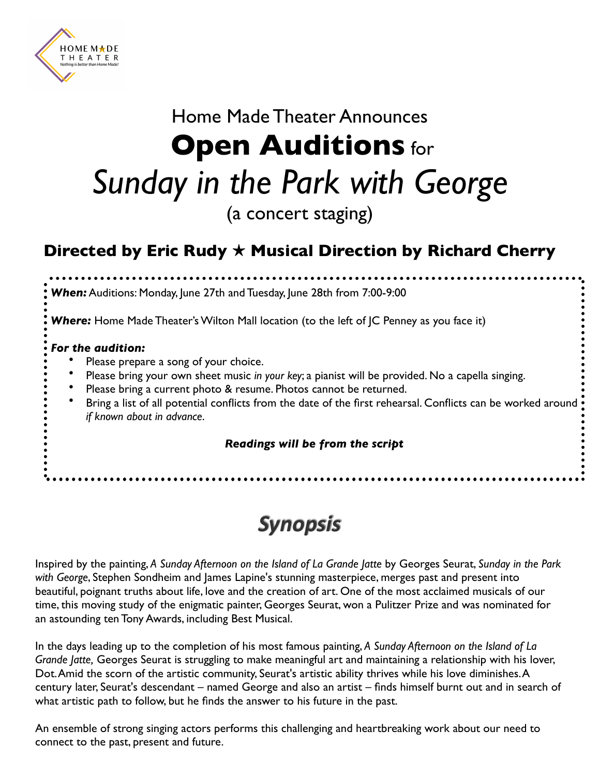

# Home Made Theater Announces **Open Auditions** for *Sunday in the Park with George* (a concert staging)

### **Directed by Eric Rudy** ! **Musical Direction by Richard Cherry**

*When:* Auditions: Monday, June 27th and Tuesday, June 28th from 7:00-9:00 **Where:** Home Made Theater's Wilton Mall location (to the left of JC Penney as you face it) *For the audition:* Please prepare a song of your choice. • Please bring your own sheet music *in your key*; a pianist will be provided. No a capella singing. Please bring a current photo & resume. Photos cannot be returned. Bring a list of all potential conflicts from the date of the first rehearsal. Conflicts can be worked around *if known about in advance*. *Readings will be from the script*

### *Synopsis*

Inspired by the painting, *A Sunday Afternoon on the Island of La Grande Jatte* by Georges Seurat, *Sunday in the Park with George*, Stephen Sondheim and James Lapine's stunning masterpiece, merges past and present into beautiful, poignant truths about life, love and the creation of art. One of the most acclaimed musicals of our time, this moving study of the enigmatic painter, Georges Seurat, won a Pulitzer Prize and was nominated for an astounding ten Tony Awards, including Best Musical.

In the days leading up to the completion of his most famous painting, *A Sunday Afternoon on the Island of La Grande Jatte,* Georges Seurat is struggling to make meaningful art and maintaining a relationship with his lover, Dot. Amid the scorn of the artistic community, Seurat's artistic ability thrives while his love diminishes. A century later, Seurat's descendant – named George and also an artist – finds himself burnt out and in search of what artistic path to follow, but he finds the answer to his future in the past.

An ensemble of strong singing actors performs this challenging and heartbreaking work about our need to connect to the past, present and future.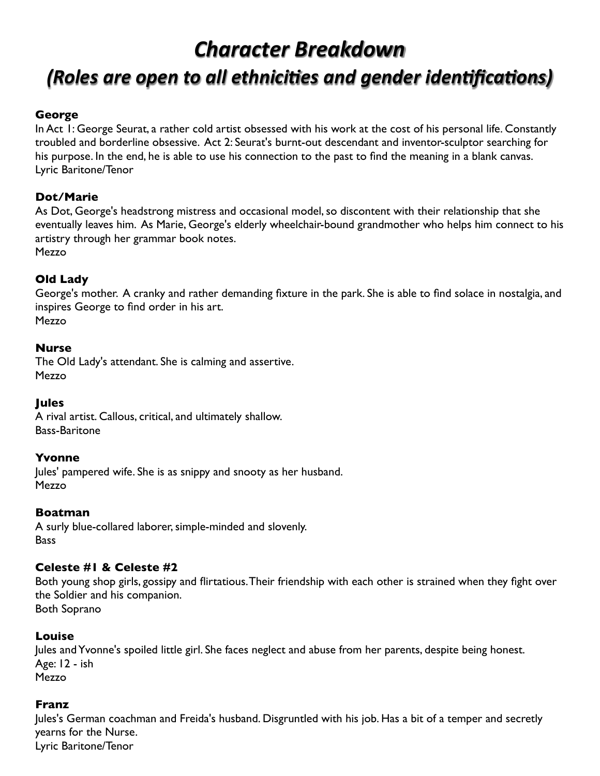## *Character Breakdown (Roles are open to all ethnici es and gender iden ca ons)*

#### **George**

In Act 1: George Seurat, a rather cold artist obsessed with his work at the cost of his personal life. Constantly troubled and borderline obsessive. Act 2: Seurat's burnt-out descendant and inventor-sculptor searching for his purpose. In the end, he is able to use his connection to the past to find the meaning in a blank canvas. Lyric Baritone/Tenor

#### **Dot/Marie**

As Dot, George's headstrong mistress and occasional model, so discontent with their relationship that she eventually leaves him. As Marie, George's elderly wheelchair-bound grandmother who helps him connect to his artistry through her grammar book notes. Mezzo

#### **Old Lady**

George's mother. A cranky and rather demanding fixture in the park. She is able to find solace in nostalgia, and inspires George to find order in his art.

Mezzo

#### **Nurse**

The Old Lady's attendant. She is calming and assertive. Mezzo

#### **Jules**

A rival artist. Callous, critical, and ultimately shallow. Bass-Baritone

#### **Yvonne**

Jules' pampered wife. She is as snippy and snooty as her husband. Mezzo

#### **Boatman**

A surly blue-collared laborer, simple-minded and slovenly. **Bass** 

#### **Celeste #1 & Celeste #2**

Both young shop girls, gossipy and flirtatious. Their friendship with each other is strained when they fight over the Soldier and his companion. Both Soprano

#### **Louise**

Jules and Yvonne's spoiled little girl. She faces neglect and abuse from her parents, despite being honest. Age: 12 - ish Mezzo

#### **Franz**

Jules's German coachman and Freida's husband. Disgruntled with his job. Has a bit of a temper and secretly yearns for the Nurse. Lyric Baritone/Tenor